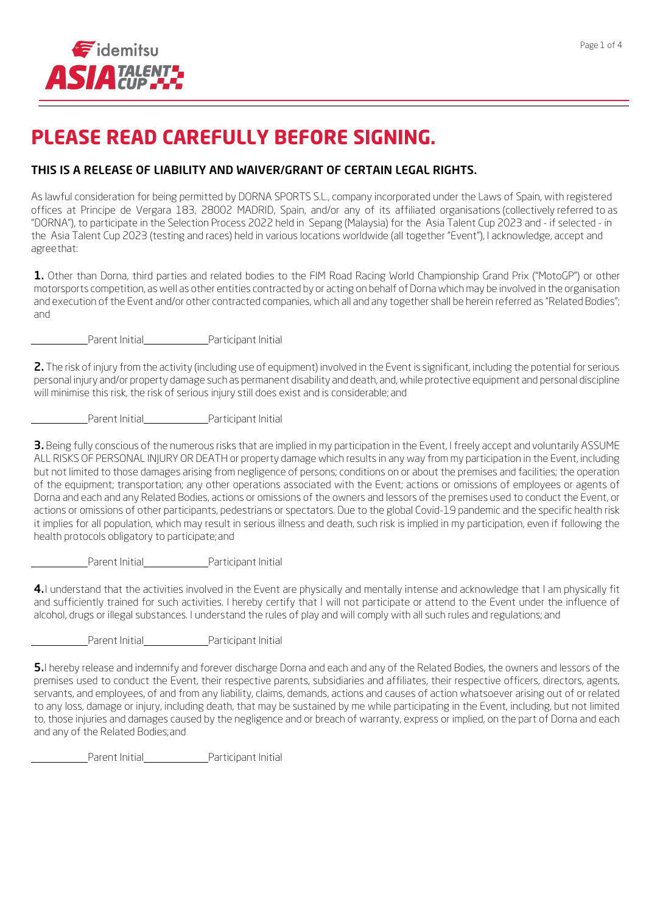

# **PLEASE READ CAREFULLY BEFORE SIGNING.**

## THIS IS A RELEASE OF LIABILITY AND WAIVER/GRANT OF CERTAIN LEGAL RIGHTS.

As lawful consideration for being permitted by DORNA SPORTS S.L., company incorporated under the Laws of Spain, with registered offices at Principe de Vergara 183, 28002 MADRID, Spain, and/or any of its affiliated organisations (collectively referred to as "DORNA"), to participate in the Selection Process 2022 held in Sepang (Malaysia) for the Asia Talent Cup 2023 and - if selected - in the Asia Talent Cup 2023 (testing and races) held in various locations worldwide (all together "Event"), I acknowledge, accept and agreethat:

1. Other than Dorna, third parties and related bodies to the FIM Road Racing World Championship Grand Prix ("MotoGP") or other motorsports competition, as well as other entities contracted by or acting on behalf of Dorna which may be involved in the organisation and execution of the Event and/or other contracted companies, which all and any together shall be herein referred as "Related Bodies"; and

Parent Initial Participant Initial

2. The risk of injury from the activity (including use of equipment) involved in the Event is significant, including the potential for serious personal injury and/or property damage such as permanent disability and death, and, while protective equipment and personal discipline will minimise this risk, the risk of serious injury still does exist and is considerable; and

Parent Initial Participant Initial

3. Being fully conscious of the numerous risks that are implied in my participation in the Event, I freely accept and voluntarily ASSUME ALL RISKS OF PERSONAL INJURY OR DEATH or property damage which results in any way from my participation in the Event, including but not limited to those damages arising from negligence of persons; conditions on or about the premises and facilities; the operation of the equipment; transportation; any other operations associated with the Event; actions or omissions of employees or agents of Dorna and each and any Related Bodies, actions or omissions of the owners and lessors of the premises used to conduct the Event, or actions or omissions of other participants, pedestrians or spectators. Due to the global Covid-19 pandemic and the specific health risk it implies for all population, which may result in serious illness and death, such risk is implied in my participation, even if following the health protocols obligatory to participate;and

Parent Initial Participant Initial

4. I understand that the activities involved in the Event are physically and mentally intense and acknowledge that I am physically fit and sufficiently trained for such activities. I hereby certify that I will not participate or attend to the Event under the influence of alcohol, drugs or illegal substances. I understand the rules of play and will comply with all such rules and regulations; and

Parent Initial Participant Initial

5.I hereby release and indemnify and forever discharge Dorna and each and any of the Related Bodies, the owners and lessors of the premises used to conduct the Event, their respective parents, subsidiaries and affiliates, their respective officers, directors, agents, servants, and employees, of and from any liability, claims, demands, actions and causes of action whatsoever arising out of or related to any loss, damage or injury, including death, that may be sustained by me while participating in the Event, including, but not limited to, those injuries and damages caused by the negligence and or breach of warranty, express or implied, on the part of Dorna and each and any of the Related Bodies;and

Parent Initial Participant Initial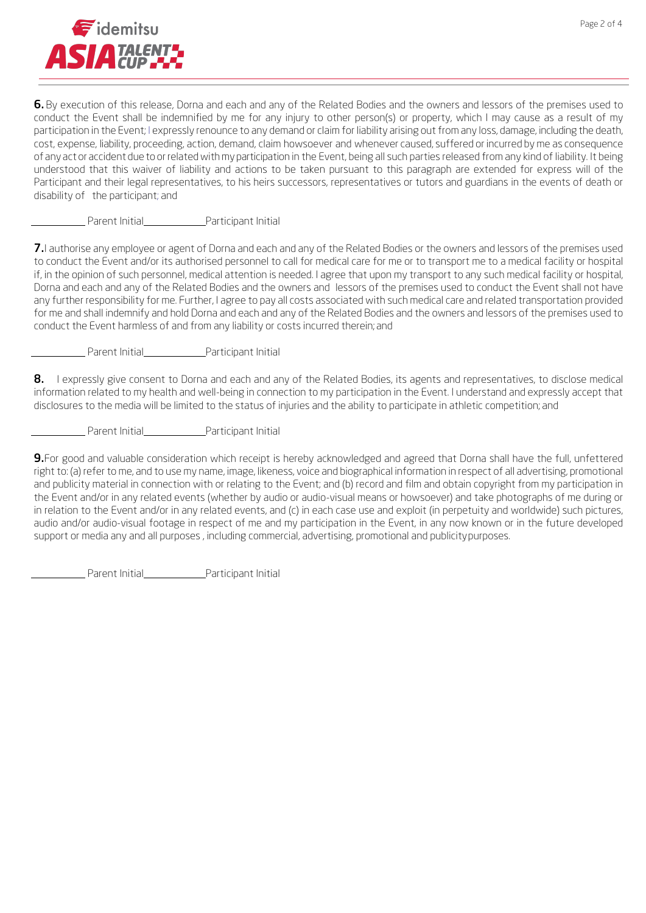

6. By execution of this release, Dorna and each and any of the Related Bodies and the owners and lessors of the premises used to conduct the Event shall be indemnified by me for any injury to other person(s) or property, which I may cause as a result of my participation in the Event; I expressly renounce to any demand or claim for liability arising out from any loss, damage, including the death, cost, expense, liability, proceeding, action, demand, claim howsoever and whenever caused, suffered or incurred by me as consequence of any act or accident due to or related with my participation in the Event, being all such parties released from any kind of liability. It being understood that this waiver of liability and actions to be taken pursuant to this paragraph are extended for express will of the Participant and their legal representatives, to his heirs successors, representatives or tutors and guardians in the events of death or disability of the participant; and

Parent Initial Participant Initial

7. I authorise any employee or agent of Dorna and each and any of the Related Bodies or the owners and lessors of the premises used to conduct the Event and/or its authorised personnel to call for medical care for me or to transport me to a medical facility or hospital if, in the opinion of such personnel, medical attention is needed. I agree that upon my transport to any such medical facility or hospital, Dorna and each and any of the Related Bodies and the owners and lessors of the premises used to conduct the Event shall not have any further responsibility for me. Further, I agree to pay all costs associated with such medical care and related transportation provided for me and shall indemnify and hold Dorna and each and any of the Related Bodies and the owners and lessors of the premises used to conduct the Event harmless of and from any liability or costs incurred therein; and

Parent Initial Participant Initial

8. I expressly give consent to Dorna and each and any of the Related Bodies, its agents and representatives, to disclose medical information related to my health and well-being in connection to my participation in the Event. I understand and expressly accept that disclosures to the media will be limited to the status of injuries and the ability to participate in athletic competition; and

Parent Initial Participant Initial

9.For good and valuable consideration which receipt is hereby acknowledged and agreed that Dorna shall have the full, unfettered right to: (a) refer to me, and to use my name, image, likeness, voice and biographical information in respect of all advertising, promotional and publicity material in connection with or relating to the Event; and (b) record and film and obtain copyright from my participation in the Event and/or in any related events (whether by audio or audio-visual means or howsoever) and take photographs of me during or in relation to the Event and/or in any related events, and (c) in each case use and exploit (in perpetuity and worldwide) such pictures, audio and/or audio-visual footage in respect of me and my participation in the Event, in any now known or in the future developed support or media any and all purposes , including commercial, advertising, promotional and publicitypurposes.

Parent Initial Participant Initial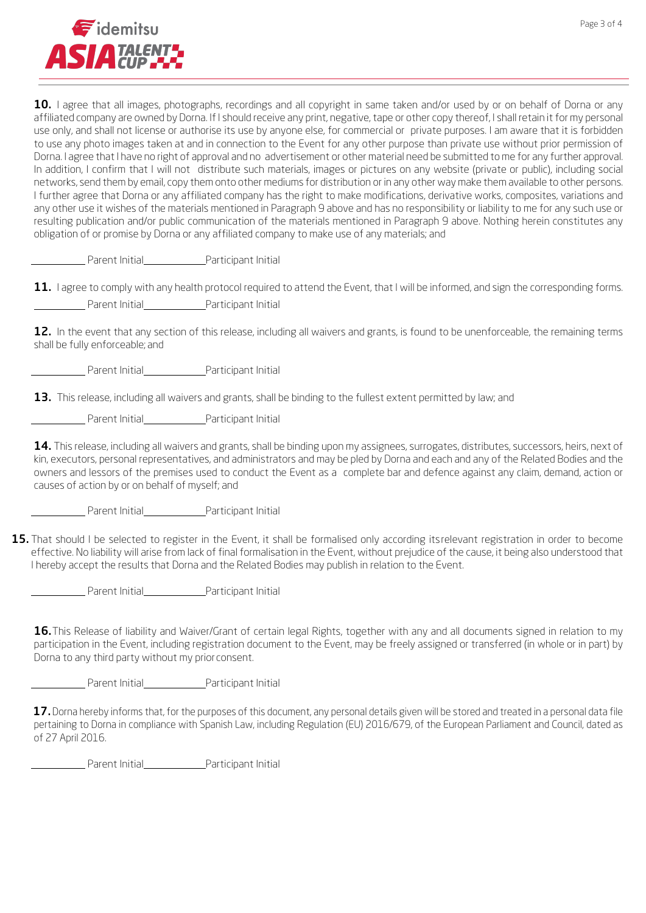

10. I agree that all images, photographs, recordings and all copyright in same taken and/or used by or on behalf of Dorna or any affiliated company are owned by Dorna. If I should receive any print, negative, tape or other copy thereof, I shall retain it for my personal use only, and shall not license or authorise its use by anyone else, for commercial or private purposes. I am aware that it is forbidden to use any photo images taken at and in connection to the Event for any other purpose than private use without prior permission of Dorna. I agree that I have no right of approval and no advertisement or other material need be submitted to me for any further approval. In addition, I confirm that I will not distribute such materials, images or pictures on any website (private or public), including social networks, send them by email, copy them onto other mediums for distribution or in any other way make them available to other persons. I further agree that Dorna or any affiliated company has the right to make modifications, derivative works, composites, variations and any other use it wishes of the materials mentioned in Paragraph 9 above and has no responsibility or liability to me for any such use or resulting publication and/or public communication of the materials mentioned in Paragraph 9 above. Nothing herein constitutes any obligation of or promise by Dorna or any affiliated company to make use of any materials; and

Parent Initial Participant Initial

|                |                     | 11. Lagree to comply with any health protocol required to attend the Event, that I will be informed, and sign the corresponding forms. |
|----------------|---------------------|----------------------------------------------------------------------------------------------------------------------------------------|
| Parent Initial | Participant Initial |                                                                                                                                        |

12. In the event that any section of this release, including all waivers and grants, is found to be unenforceable, the remaining terms shall be fully enforceable; and

Parent Initial Participant Initial

13. This release, including all waivers and grants, shall be binding to the fullest extent permitted by law; and

Parent Initial Participant Initial

14. This release, including all waivers and grants, shall be binding upon my assignees, surrogates, distributes, successors, heirs, next of kin, executors, personal representatives, and administrators and may be pled by Dorna and each and any of the Related Bodies and the owners and lessors of the premises used to conduct the Event as a complete bar and defence against any claim, demand, action or causes of action by or on behalf of myself; and

Parent Initial Participant Initial

15. That should I be selected to register in the Event, it shall be formalised only according itsrelevant registration in order to become effective. No liability will arise from lack of final formalisation in the Event, without prejudice of the cause, it being also understood that I hereby accept the results that Dorna and the Related Bodies may publish in relation to the Event.

Parent Initial Participant Initial

16. This Release of liability and Waiver/Grant of certain legal Rights, together with any and all documents signed in relation to my participation in the Event, including registration document to the Event, may be freely assigned or transferred (in whole or in part) by Dorna to any third party without my priorconsent.

Parent Initial Participant Initial

17. Dorna hereby informs that, for the purposes of this document, any personal details given will be stored and treated in a personal data file pertaining to Dorna in compliance with Spanish Law, including Regulation (EU) 2016/679, of the European Parliament and Council, dated as of 27 April 2016.

Parent Initial Participant Initial